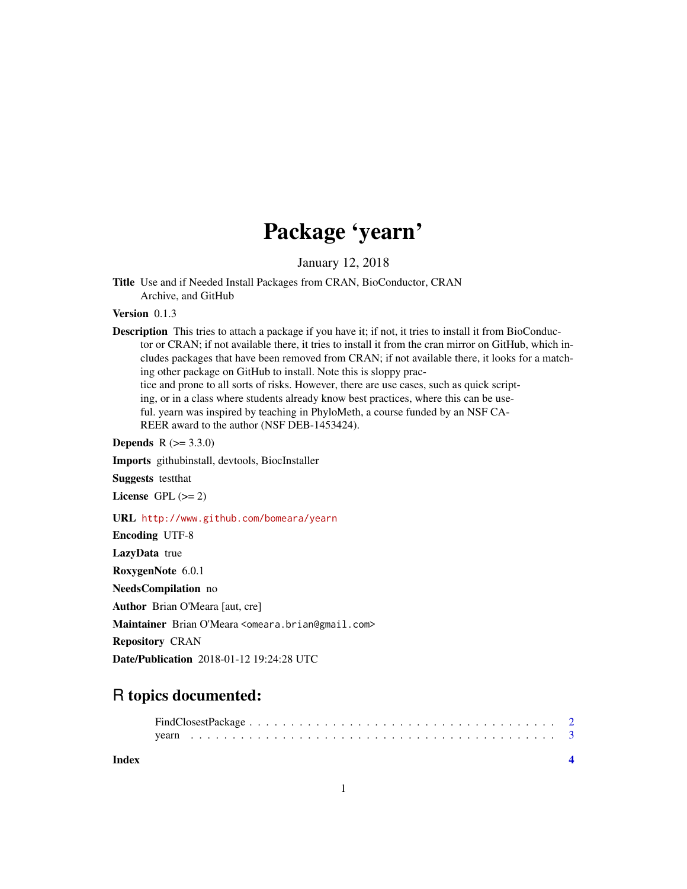## Package 'yearn'

January 12, 2018

Title Use and if Needed Install Packages from CRAN, BioConductor, CRAN Archive, and GitHub

Version 0.1.3

Description This tries to attach a package if you have it; if not, it tries to install it from BioConductor or CRAN; if not available there, it tries to install it from the cran mirror on GitHub, which includes packages that have been removed from CRAN; if not available there, it looks for a matching other package on GitHub to install. Note this is sloppy practice and prone to all sorts of risks. However, there are use cases, such as quick scripting, or in a class where students already know best practices, where this can be useful. yearn was inspired by teaching in PhyloMeth, a course funded by an NSF CA-REER award to the author (NSF DEB-1453424).

**Depends**  $R (= 3.3.0)$ 

Imports githubinstall, devtools, BiocInstaller

Suggests testthat

License GPL  $(>= 2)$ 

URL <http://www.github.com/bomeara/yearn>

Encoding UTF-8 LazyData true RoxygenNote 6.0.1 NeedsCompilation no Author Brian O'Meara [aut, cre] Maintainer Brian O'Meara <omeara.brian@gmail.com> Repository CRAN Date/Publication 2018-01-12 19:24:28 UTC

### R topics documented:

**Index** [4](#page-3-0)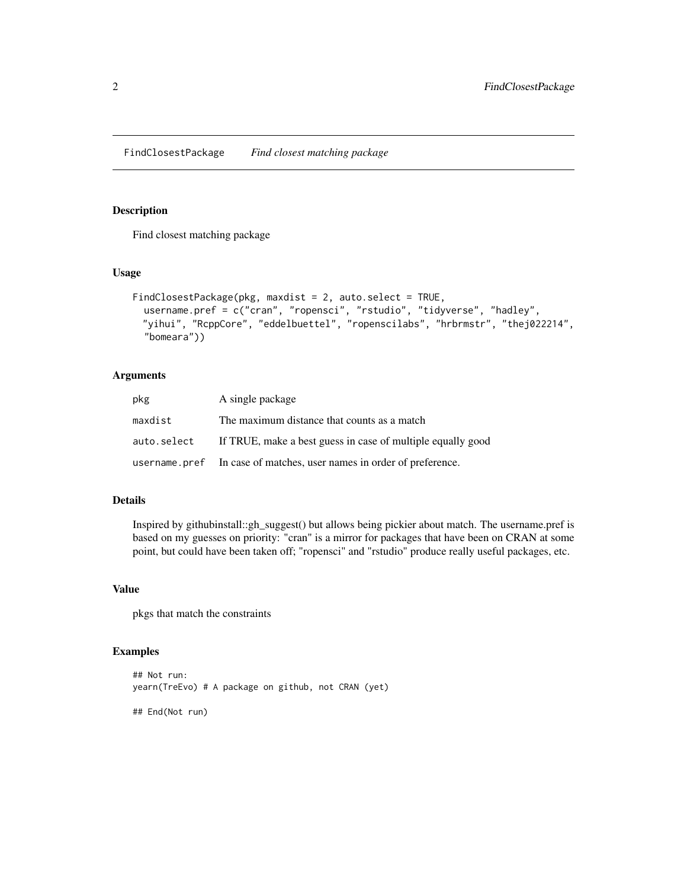<span id="page-1-0"></span>FindClosestPackage *Find closest matching package*

#### Description

Find closest matching package

#### Usage

```
FindClosestPackage(pkg, maxdist = 2, auto.select = TRUE,
 username.pref = c("cran", "ropensci", "rstudio", "tidyverse", "hadley",
 "yihui", "RcppCore", "eddelbuettel", "ropenscilabs", "hrbrmstr", "thej022214",
  "bomeara"))
```
#### Arguments

| pkg         | A single package                                                     |
|-------------|----------------------------------------------------------------------|
| maxdist     | The maximum distance that counts as a match                          |
| auto.select | If TRUE, make a best guess in case of multiple equally good          |
|             | username.pref In case of matches, user names in order of preference. |

#### Details

Inspired by githubinstall::gh\_suggest() but allows being pickier about match. The username.pref is based on my guesses on priority: "cran" is a mirror for packages that have been on CRAN at some point, but could have been taken off; "ropensci" and "rstudio" produce really useful packages, etc.

#### Value

pkgs that match the constraints

#### Examples

```
## Not run:
yearn(TreEvo) # A package on github, not CRAN (yet)
## End(Not run)
```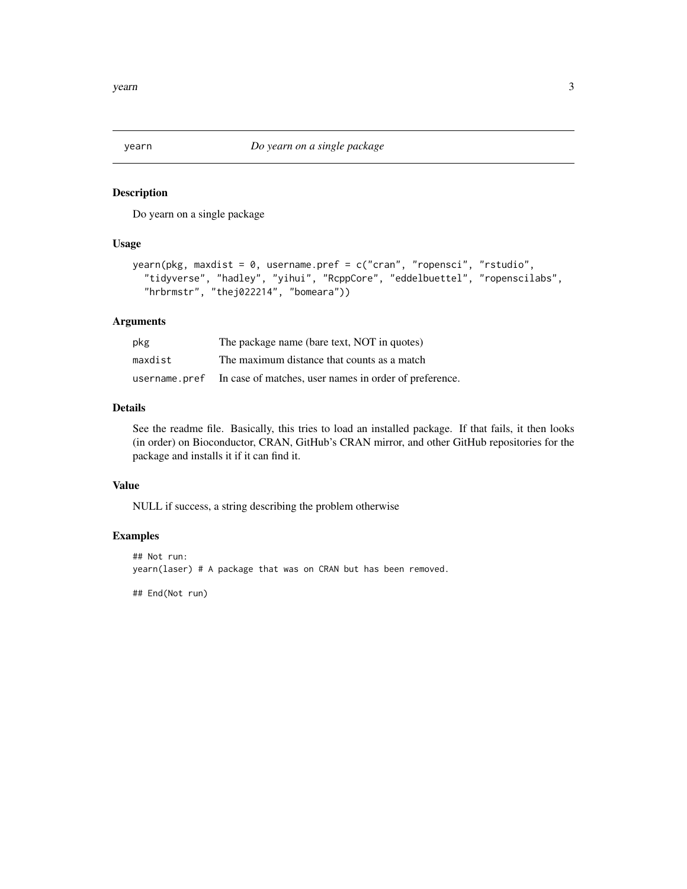<span id="page-2-0"></span>

#### Description

Do yearn on a single package

#### Usage

```
yearn(pkg, maxdist = 0, username.pref = c("cran", "ropensci", "rstudio",
  "tidyverse", "hadley", "yihui", "RcppCore", "eddelbuettel", "ropenscilabs",
  "hrbrmstr", "thej022214", "bomeara"))
```
#### Arguments

| pkg           | The package name (bare text, NOT in quotes)            |
|---------------|--------------------------------------------------------|
| maxdist       | The maximum distance that counts as a match            |
| username.pref | In case of matches, user names in order of preference. |

#### Details

See the readme file. Basically, this tries to load an installed package. If that fails, it then looks (in order) on Bioconductor, CRAN, GitHub's CRAN mirror, and other GitHub repositories for the package and installs it if it can find it.

#### Value

NULL if success, a string describing the problem otherwise

#### Examples

```
## Not run:
yearn(laser) # A package that was on CRAN but has been removed.
```
## End(Not run)